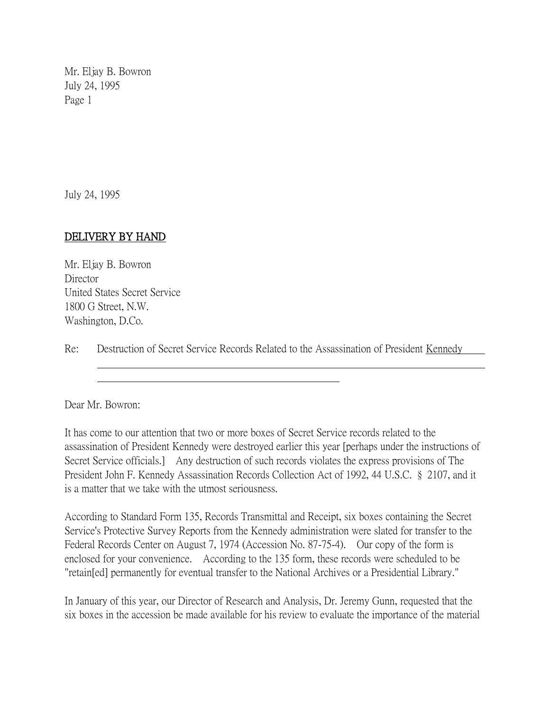Mr. Eljay B. Bowron July 24, 1995 Page 1

July 24, 1995

## DELIVERY BY HAND

Mr. Eljay B. Bowron **Director** United States Secret Service 1800 G Street, N.W. Washington, D.Co.

Re: Destruction of Secret Service Records Related to the Assassination of President Kennedy

Dear Mr. Bowron:

It has come to our attention that two or more boxes of Secret Service records related to the assassination of President Kennedy were destroyed earlier this year [perhaps under the instructions of Secret Service officials.] Any destruction of such records violates the express provisions of The President John F. Kennedy Assassination Records Collection Act of 1992, 44 U.S.C. § 2107, and it is a matter that we take with the utmost seriousness.

According to Standard Form 135, Records Transmittal and Receipt, six boxes containing the Secret Service's Protective Survey Reports from the Kennedy administration were slated for transfer to the Federal Records Center on August 7, 1974 (Accession No. 87-75-4). Our copy of the form is enclosed for your convenience. According to the 135 form, these records were scheduled to be "retain[ed] permanently for eventual transfer to the National Archives or a Presidential Library."

In January of this year, our Director of Research and Analysis, Dr. Jeremy Gunn, requested that the six boxes in the accession be made available for his review to evaluate the importance of the material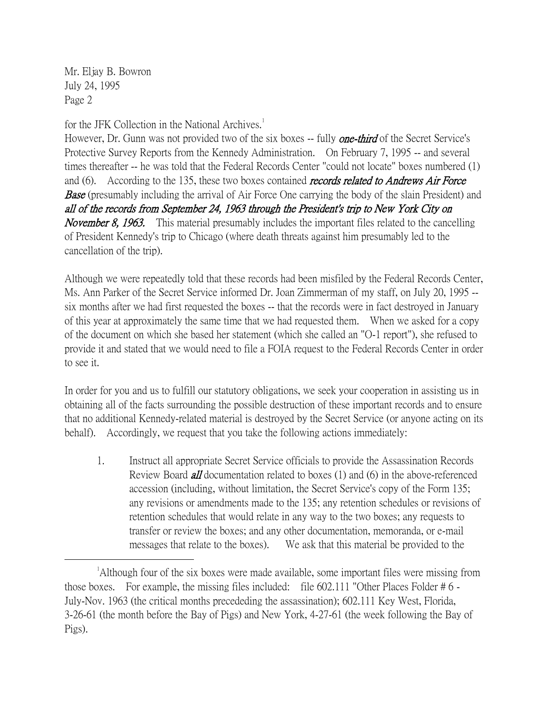Mr. Eljay B. Bowron July 24, 1995 Page 2

 $\overline{a}$ 

for the JFK Collection in the National Archives.<sup>1</sup>

However, Dr. Gunn was not provided two of the six boxes -- fully **one-third** of the Secret Service's Protective Survey Reports from the Kennedy Administration. On February 7, 1995 -- and several times thereafter -- he was told that the Federal Records Center "could not locate" boxes numbered (1) and (6). According to the 135, these two boxes contained *records related to Andrews Air Force* **Base** (presumably including the arrival of Air Force One carrying the body of the slain President) and all of the records from September 24, 1963 through the President's trip to New York City on November 8, 1963. This material presumably includes the important files related to the cancelling of President Kennedy's trip to Chicago (where death threats against him presumably led to the cancellation of the trip).

Although we were repeatedly told that these records had been misfiled by the Federal Records Center, Ms. Ann Parker of the Secret Service informed Dr. Joan Zimmerman of my staff, on July 20, 1995 - six months after we had first requested the boxes -- that the records were in fact destroyed in January of this year at approximately the same time that we had requested them. When we asked for a copy of the document on which she based her statement (which she called an "O-1 report"), she refused to provide it and stated that we would need to file a FOIA request to the Federal Records Center in order to see it.

In order for you and us to fulfill our statutory obligations, we seek your cooperation in assisting us in obtaining all of the facts surrounding the possible destruction of these important records and to ensure that no additional Kennedy-related material is destroyed by the Secret Service (or anyone acting on its behalf). Accordingly, we request that you take the following actions immediately:

1. Instruct all appropriate Secret Service officials to provide the Assassination Records Review Board all documentation related to boxes (1) and (6) in the above-referenced accession (including, without limitation, the Secret Service's copy of the Form 135; any revisions or amendments made to the 135; any retention schedules or revisions of retention schedules that would relate in any way to the two boxes; any requests to transfer or review the boxes; and any other documentation, memoranda, or e-mail messages that relate to the boxes). We ask that this material be provided to the

<sup>&</sup>lt;sup>1</sup>Although four of the six boxes were made available, some important files were missing from those boxes. For example, the missing files included: file 602.111 "Other Places Folder # 6 - July-Nov. 1963 (the critical months precededing the assassination); 602.111 Key West, Florida, 3-26-61 (the month before the Bay of Pigs) and New York, 4-27-61 (the week following the Bay of Pigs).